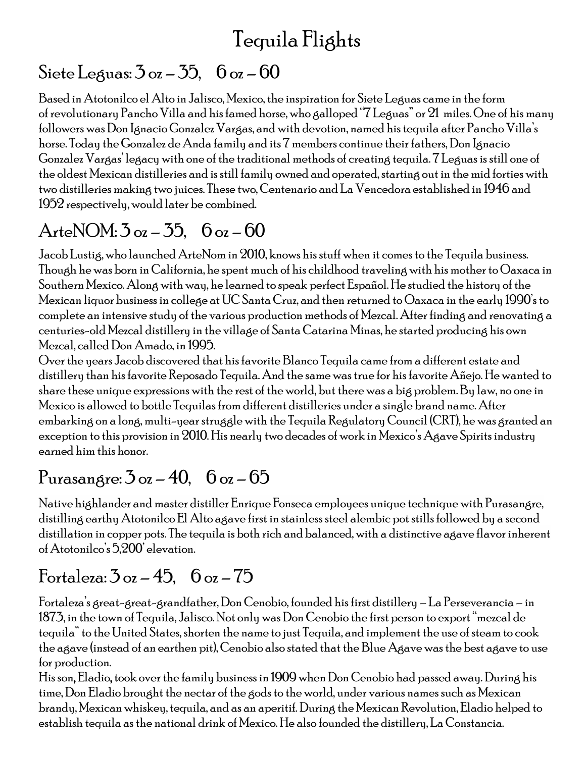# Tequila Flights

### Siete Leguas:  $3 \text{ oz} - 35$ ,  $6 \text{ oz} - 60$

Based in Atotonilco el Alto in Jalisco, Mexico, the inspiration for Siete Leguas came in the form of revolutionary Pancho Villa and his famed horse, who galloped "7 Leguas" or 21 miles. One of his many followers wasDon Ignacio Gonzalez Vargas, and with devotion, named his tequila after Pancho Villa's horse. Today the Gonzalez de Anda family and its 7 members continue their fathers, Don Ignacio Gonzalez Vargas' legacy with one of the traditional methods of creating tequila. 7 Leguas is still one of the oldest Mexican distilleries and is still family owned and operated, starting out in the mid forties with two distilleries making two juices. These two, Centenario and La Vencedora established in 1946 and 1952 respectively,would later be combined.

#### ArteNOM:  $3 \text{ oz} - 35$ ,  $6 \text{ oz} - 60$

Jacob Lustig, who launched ArteNom in 2010, knows his stuff when it comes to the Tequila business. Though he was born in California, he spent much of his childhood traveling with his mother to Oaxaca in Southern Mexico. Along with way, he learned to speak perfect Español. He studied the history of the Mexican liquor business in college at UC Santa Cruz, and then returned to Oaxaca in the early 1990's to complete an intensive study of the various production methods of Mezcal. After finding and renovating a centuries-old Mezcal distillery in the village of Santa Catarina Minas, he started producing his own Mezcal, called Don Amado, in 1995.

Over the years Jacob discovered that his favorite Blanco Tequila came from a different estate and distillery than his favorite Reposado Tequila. And the same was true for his favorite Añejo. He wanted to share these unique expressions with the rest of the world, but there was a big problem. By law, no one in Mexico is allowed to bottle Tequilas from different distilleries under a single brand name. After embarking on a long, multi-year struggle with the Tequila Regulatory Council (CRT), he was granted an exception to this provision in 2010. His nearly two decades of work in Mexico's Agave Spirits industry earned him this honor.

#### Purasangre:  $3 \text{ oz} - 40$ ,  $6 \text{ oz} - 65$

Native highlander and master distiller Enrique Fonseca employees unique technique with Purasangre, distilling earthy Atotonilco El Alto agave first in stainless steel alembic pot stills followed by a second distillation in copper pots. The tequila is both rich and balanced, with a distinctive agave flavor inherent of Atotonilco's 5,200' elevation.

# Fortaleza:  $3 \text{ oz} - 45$ ,  $6 \text{ oz} - 75$

Fortaleza's great-great-grandfather, Don Cenobio, founded his first distillery – La Perseverancia – in 1873, in the town of Tequila, Jalisco.Not only was Don Cenobio the first person to export "mezcal de tequila" to the United States, shorten the name to just Tequila, and implement the use of steam to cook the agave (instead of an earthen pit), Cenobio also stated that the Blue Agave was the best agave to use for production.

His son, Eladio, took over the family business in 1909 when Don Cenobio had passed away. During his time, Don Eladio brought the nectar of the gods to the world, under various names such as Mexican brandy, Mexican whiskey, tequila, and as an aperitif. During the Mexican Revolution, Eladio helped to establish tequila as the national drink of Mexico. He also founded the distillery, La Constancia.